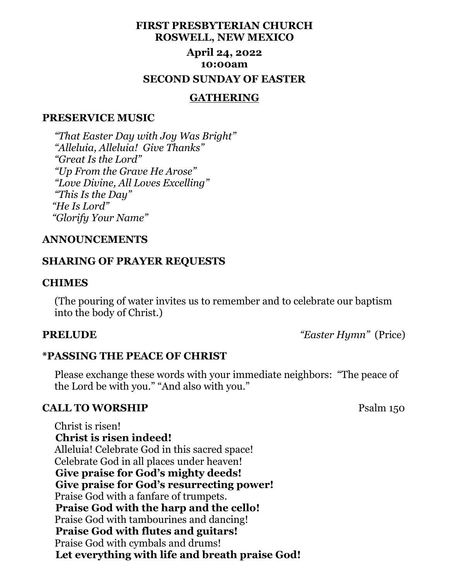# **FIRST PRESBYTERIAN CHURCH ROSWELL, NEW MEXICO**

# **April 24, 2022 10:00am SECOND SUNDAY OF EASTER**

## **GATHERING**

### **PRESERVICE MUSIC**

 *"That Easter Day with Joy Was Bright" "Alleluia, Alleluia! Give Thanks" "Great Is the Lord" "Up From the Grave He Arose" "Love Divine, All Loves Excelling" "This Is the Day" "He Is Lord" "Glorify Your Name"*

## **ANNOUNCEMENTS**

# **SHARING OF PRAYER REQUESTS**

#### **CHIMES**

 (The pouring of water invites us to remember and to celebrate our baptism into the body of Christ.)

**PRELUDE** *"Easter Hymn"* (Price)

# **\*PASSING THE PEACE OF CHRIST**

 Please exchange these words with your immediate neighbors: "The peace of the Lord be with you." "And also with you."

# **CALL TO WORSHIP** Psalm 150

 Christ is risen!  **Christ is risen indeed!** Alleluia! Celebrate God in this sacred space! Celebrate God in all places under heaven!  **Give praise for God's mighty deeds! Give praise for God's resurrecting power!** Praise God with a fanfare of trumpets.  **Praise God with the harp and the cello!** Praise God with tambourines and dancing!  **Praise God with flutes and guitars!** Praise God with cymbals and drums!  **Let everything with life and breath praise God!**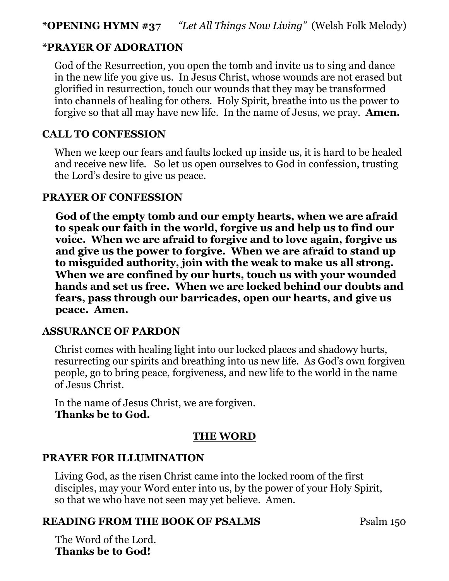# **\*OPENING HYMN #37** *"Let All Things Now Living"* (Welsh Folk Melody)

# **\*PRAYER OF ADORATION**

 God of the Resurrection, you open the tomb and invite us to sing and dance in the new life you give us. In Jesus Christ, whose wounds are not erased but glorified in resurrection, touch our wounds that they may be transformed into channels of healing for others. Holy Spirit, breathe into us the power to forgive so that all may have new life. In the name of Jesus, we pray. **Amen.**

# **CALL TO CONFESSION**

 When we keep our fears and faults locked up inside us, it is hard to be healed and receive new life. So let us open ourselves to God in confession, trusting the Lord's desire to give us peace.

# **PRAYER OF CONFESSION**

 **God of the empty tomb and our empty hearts, when we are afraid to speak our faith in the world, forgive us and help us to find our voice. When we are afraid to forgive and to love again, forgive us and give us the power to forgive. When we are afraid to stand up to misguided authority, join with the weak to make us all strong. When we are confined by our hurts, touch us with your wounded hands and set us free. When we are locked behind our doubts and fears, pass through our barricades, open our hearts, and give us peace. Amen.**

# **ASSURANCE OF PARDON**

 Christ comes with healing light into our locked places and shadowy hurts, resurrecting our spirits and breathing into us new life. As God's own forgiven people, go to bring peace, forgiveness, and new life to the world in the name of Jesus Christ.

 In the name of Jesus Christ, we are forgiven.  **Thanks be to God.**

# **THE WORD**

# **PRAYER FOR ILLUMINATION**

 Living God, as the risen Christ came into the locked room of the first disciples, may your Word enter into us, by the power of your Holy Spirit, so that we who have not seen may yet believe. Amen.

# **READING FROM THE BOOK OF PSALMS** Psalm 150

The Word of the Lord. **Thanks be to God!**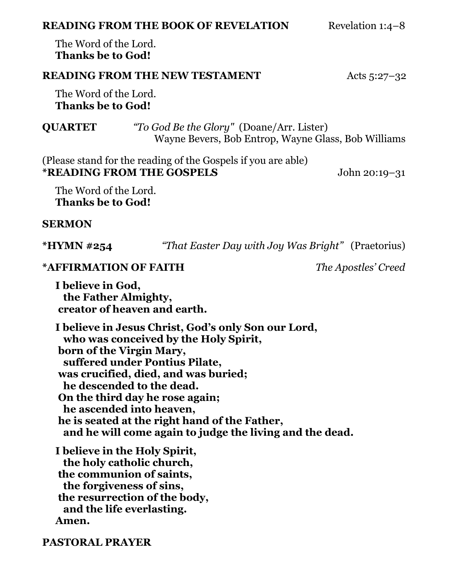| <b>READING FROM THE BOOK OF REVELATION</b> | Revelation 1:4-8 |
|--------------------------------------------|------------------|
|--------------------------------------------|------------------|

The Word of the Lord. **Thanks be to God!**

# **READING FROM THE NEW TESTAMENT** Acts 5:27-32

The Word of the Lord. **Thanks be to God!**

**QUARTET** *"To God Be the Glory"* (Doane/Arr. Lister)Wayne Bevers, Bob Entrop, Wayne Glass, Bob Williams

(Please stand for the reading of the Gospels if you are able) **\*READING FROM THE GOSPELS** John 20:19–31

The Word of the Lord. **Thanks be to God!**

#### **SERMON**

**\*HYMN #254** *"That Easter Day with Joy Was Bright"* (Praetorius)

# **\*AFFIRMATION OF FAITH** *The Apostles' Creed*

**I believe in God, the Father Almighty, creator of heaven and earth.**

**I believe in Jesus Christ, God's only Son our Lord, who was conceived by the Holy Spirit, born of the Virgin Mary, suffered under Pontius Pilate, was crucified, died, and was buried; he descended to the dead. On the third day he rose again; he ascended into heaven, he is seated at the right hand of the Father, and he will come again to judge the living and the dead.**

**I believe in the Holy Spirit, the holy catholic church, the communion of saints, the forgiveness of sins, the resurrection of the body, and the life everlasting. Amen.**

**PASTORAL PRAYER**